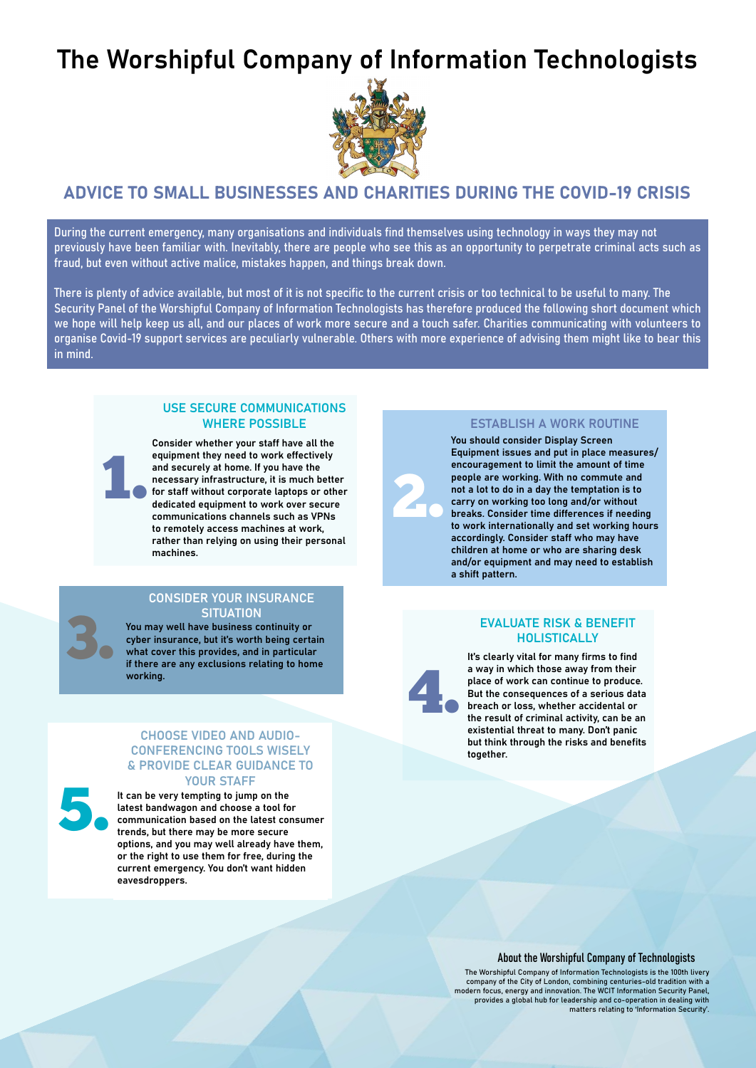# The Worshipful Company of Information Technologists



# ADVICE TO SMALL BUSINESSES AND CHARITIES DURING THE COVID-19 CRISIS

During the current emergency, many organisations and individuals find themselves using technology in ways they may not previously have been familiar with. Inevitably, there are people who see this as an opportunity to perpetrate criminal acts such as fraud, but even without active malice, mistakes happen, and things break down.

There is plenty of advice available, but most of it is not specific to the current crisis or too technical to be useful to many. The Security Panel of the Worshipful Company of Information Technologists has therefore produced the following short document which we hope will help keep us all, and our places of work more secure and a touch safer. Charities communicating with volunteers to organise Covid-19 support services are peculiarly vulnerable. Others with more experience of advising them might like to bear this in mind.

## USE SECURE COMMUNICATIONS WHERE POSSIBLE

1. Consider whether your staff have all the equipment they need to work effectively and securely at home. If you have the necessary infrastructure, it is much better for staff without corporate laptops or other dedicated equipment to work over secure communications channels such as VPNs to remotely access machines at work, rather than relying on using their personal machines.

#### CONSIDER YOUR INSURANCE **SITUATION**

You may well have business continuity or cyber insurance, but it's worth being certain what cover this provides, and in particular if there are any exclusions relating to home working.

3.

#### CHOOSE VIDEO AND AUDIO-CONFERENCING TOOLS WISELY & PROVIDE CLEAR GUIDANCE TO YOUR STAFF

5. It can be very tempting to jump on the latest bandwagon and choose a tool for communication based on the latest consumer trends, but there may be more secure options, and you may well already have them, or the right to use them for free, during the current emergency. You don't want hidden eavesdroppers.

# ESTABLISH A WORK ROUTINE

You should consider Display Screen Equipment issues and put in place measures/ encouragement to limit the amount of time people are working. With no commute and not a lot to do in a day the temptation is to carry on working too long and/or without breaks. Consider time differences if needing to work internationally and set working hours accordingly. Consider staff who may have children at home or who are sharing desk and/or equipment and may need to establish a shift pattern.

## EVALUATE RISK & BENEFIT HOLISTICALLY



2.

It's clearly vital for many firms to find a way in which those away from their place of work can continue to produce. But the consequences of a serious data breach or loss, whether accidental or the result of criminal activity, can be an existential threat to many. Don't panic but think through the risks and benefits together.

About the Worshipful Company of Technologists

The Worshipful Company of Information Technologists is the 100th livery company of the City of London, combining centuries-old tradition with a modern focus, energy and innovation. The WCIT Information Security Panel, provides a global hub for leadership and co-operation in dealing with matters relating to 'Information Security'.